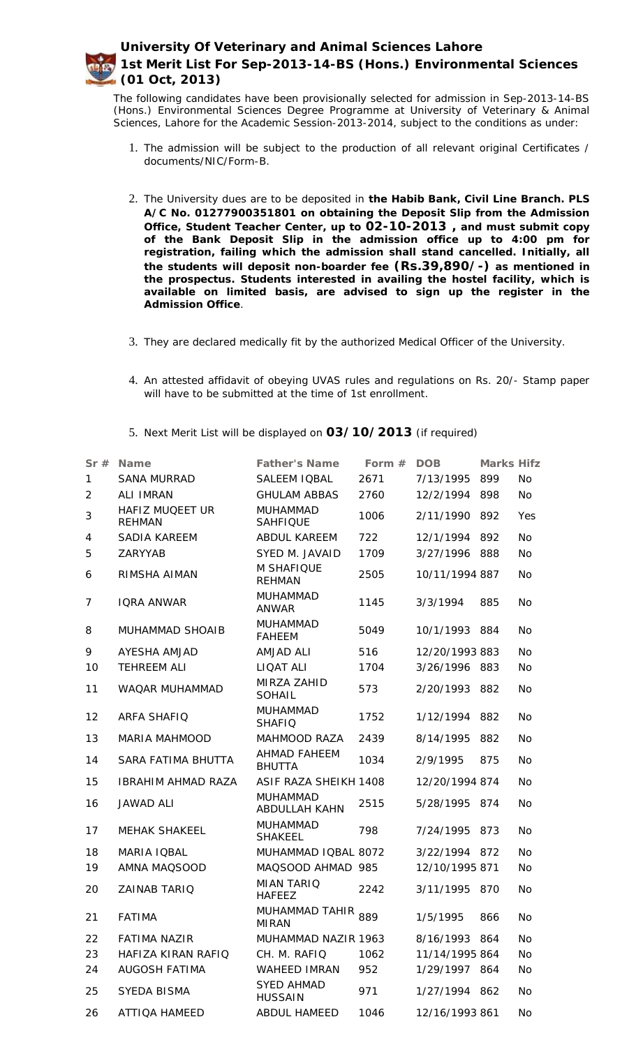**University Of Veterinary and Animal Sciences Lahore**



**1st Merit List For Sep-2013-14-BS (Hons.) Environmental Sciences (01 Oct, 2013)**

The following candidates have been provisionally selected for admission in Sep-2013-14-BS (Hons.) Environmental Sciences Degree Programme at University of Veterinary & Animal Sciences, Lahore for the Academic Session-2013-2014, subject to the conditions as under:

- 1. The admission will be subject to the production of all relevant original Certificates / documents/NIC/Form-B.
- 2. The University dues are to be deposited in **the Habib Bank, Civil Line Branch. PLS A/C No. 01277900351801 on obtaining the Deposit Slip from the Admission Office, Student Teacher Center, up to 02-10-2013 , and must submit copy of the Bank Deposit Slip in the admission office up to 4:00 pm for registration, failing which the admission shall stand cancelled. Initially, all the students will deposit non-boarder fee (Rs.39,890/-) as mentioned in the prospectus. Students interested in availing the hostel facility, which is available on limited basis, are advised to sign up the register in the Admission Office**.
- 3. They are declared medically fit by the authorized Medical Officer of the University.
- 4. An attested affidavit of obeying UVAS rules and regulations on Rs. 20/- Stamp paper will have to be submitted at the time of 1st enrollment.
- 5. Next Merit List will be displayed on **03/10/2013** (if required)

| Sr#            | Name                             | <b>Father's Name</b>                | Form $#$ | <b>DOB</b>     | Marks Hifz |           |
|----------------|----------------------------------|-------------------------------------|----------|----------------|------------|-----------|
| $\mathbf{1}$   | SANA MURRAD                      | SALEEM IQBAL                        | 2671     | 7/13/1995      | 899        | <b>No</b> |
| $\overline{2}$ | <b>ALI IMRAN</b>                 | <b>GHULAM ABBAS</b>                 | 2760     | 12/2/1994 898  |            | No        |
| 3              | HAFIZ MUQEET UR<br><b>REHMAN</b> | <b>MUHAMMAD</b><br><b>SAHFIQUE</b>  | 1006     | 2/11/1990 892  |            | Yes       |
| 4              | SADIA KAREEM                     | ABDUL KAREEM                        | 722      | 12/1/1994 892  |            | <b>No</b> |
| 5              | ZARYYAB                          | SYED M. JAVAID                      | 1709     | 3/27/1996 888  |            | No        |
| 6              | RIMSHA AIMAN                     | M SHAFIQUE<br><b>REHMAN</b>         | 2505     | 10/11/1994 887 |            | <b>No</b> |
| 7              | <b>IQRA ANWAR</b>                | <b>MUHAMMAD</b><br><b>ANWAR</b>     | 1145     | 3/3/1994       | 885        | <b>No</b> |
| 8              | MUHAMMAD SHOAIB                  | <b>MUHAMMAD</b><br><b>FAHEEM</b>    | 5049     | 10/1/1993 884  |            | <b>No</b> |
| 9              | AYESHA AMJAD                     | <b>AMJAD ALI</b>                    | 516      | 12/20/1993 883 |            | <b>No</b> |
| 10             | <b>TEHREEM ALI</b>               | LIQAT ALI                           | 1704     | 3/26/1996 883  |            | <b>No</b> |
| 11             | WAQAR MUHAMMAD                   | MIRZA ZAHID<br><b>SOHAIL</b>        | 573      | 2/20/1993 882  |            | <b>No</b> |
| 12             | ARFA SHAFIQ                      | <b>MUHAMMAD</b><br><b>SHAFIQ</b>    | 1752     | 1/12/1994 882  |            | <b>No</b> |
| 13             | <b>MARIA MAHMOOD</b>             | MAHMOOD RAZA                        | 2439     | 8/14/1995 882  |            | <b>No</b> |
| 14             | SARA FATIMA BHUTTA               | AHMAD FAHEEM<br><b>BHUTTA</b>       | 1034     | 2/9/1995       | 875        | <b>No</b> |
| 15             | IBRAHIM AHMAD RAZA               | ASIF RAZA SHEIKH 1408               |          | 12/20/1994 874 |            | <b>No</b> |
| 16             | <b>JAWAD ALI</b>                 | <b>MUHAMMAD</b><br>ABDULLAH KAHN    | 2515     | 5/28/1995 874  |            | <b>No</b> |
| 17             | MEHAK SHAKEEL                    | <b>MUHAMMAD</b><br><b>SHAKEEL</b>   | 798      | 7/24/1995 873  |            | <b>No</b> |
| 18             | MARIA IQBAL                      | MUHAMMAD IQBAL 8072                 |          | 3/22/1994 872  |            | No        |
| 19             | AMNA MAQSOOD                     | MAQSOOD AHMAD 985                   |          | 12/10/1995 871 |            | No        |
| 20             | ZAINAB TARIQ                     | <b>MIAN TARIO</b><br><b>HAFEEZ</b>  | 2242     | 3/11/1995 870  |            | No        |
| 21             | <b>FATIMA</b>                    | MUHAMMAD TAHIR 889<br>MIRAN         |          | 1/5/1995       | 866        | No        |
| 22             | <b>FATIMA NAZIR</b>              | MUHAMMAD NAZIR 1963                 |          | 8/16/1993 864  |            | <b>No</b> |
| 23             | HAFIZA KIRAN RAFIQ               | CH. M. RAFIQ                        | 1062     | 11/14/1995 864 |            | <b>No</b> |
| 24             | AUGOSH FATIMA                    | <b>WAHEED IMRAN</b>                 | 952      | 1/29/1997 864  |            | <b>No</b> |
| 25             | <b>SYEDA BISMA</b>               | <b>SYED AHMAD</b><br><b>HUSSAIN</b> | 971      | 1/27/1994 862  |            | No        |
| 26             | <b>ATTIQA HAMEED</b>             | ABDUL HAMEED                        | 1046     | 12/16/1993 861 |            | <b>No</b> |